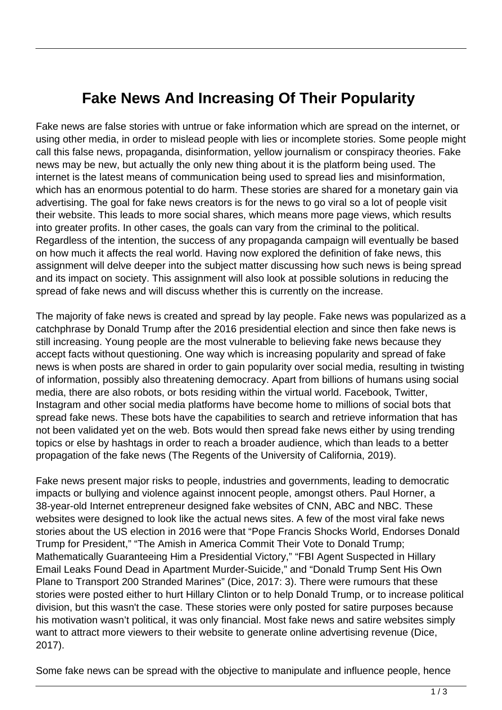## **Fake News And Increasing Of Their Popularity**

Fake news are false stories with untrue or fake information which are spread on the internet, or using other media, in order to mislead people with lies or incomplete stories. Some people might call this false news, propaganda, disinformation, yellow journalism or conspiracy theories. Fake news may be new, but actually the only new thing about it is the platform being used. The internet is the latest means of communication being used to spread lies and misinformation, which has an enormous potential to do harm. These stories are shared for a monetary gain via advertising. The goal for fake news creators is for the news to go viral so a lot of people visit their website. This leads to more social shares, which means more page views, which results into greater profits. In other cases, the goals can vary from the criminal to the political. Regardless of the intention, the success of any propaganda campaign will eventually be based on how much it affects the real world. Having now explored the definition of fake news, this assignment will delve deeper into the subject matter discussing how such news is being spread and its impact on society. This assignment will also look at possible solutions in reducing the spread of fake news and will discuss whether this is currently on the increase.

The majority of fake news is created and spread by lay people. Fake news was popularized as a catchphrase by Donald Trump after the 2016 presidential election and since then fake news is still increasing. Young people are the most vulnerable to believing fake news because they accept facts without questioning. One way which is increasing popularity and spread of fake news is when posts are shared in order to gain popularity over social media, resulting in twisting of information, possibly also threatening democracy. Apart from billions of humans using social media, there are also robots, or bots residing within the virtual world. Facebook, Twitter, Instagram and other social media platforms have become home to millions of social bots that spread fake news. These bots have the capabilities to search and retrieve information that has not been validated yet on the web. Bots would then spread fake news either by using trending topics or else by hashtags in order to reach a broader audience, which than leads to a better propagation of the fake news (The Regents of the University of California, 2019).

Fake news present major risks to people, industries and governments, leading to democratic impacts or bullying and violence against innocent people, amongst others. Paul Horner, a 38-year-old Internet entrepreneur designed fake websites of CNN, ABC and NBC. These websites were designed to look like the actual news sites. A few of the most viral fake news stories about the US election in 2016 were that "Pope Francis Shocks World, Endorses Donald Trump for President," "The Amish in America Commit Their Vote to Donald Trump; Mathematically Guaranteeing Him a Presidential Victory," "FBI Agent Suspected in Hillary Email Leaks Found Dead in Apartment Murder-Suicide," and "Donald Trump Sent His Own Plane to Transport 200 Stranded Marines" (Dice, 2017: 3). There were rumours that these stories were posted either to hurt Hillary Clinton or to help Donald Trump, or to increase political division, but this wasn't the case. These stories were only posted for satire purposes because his motivation wasn't political, it was only financial. Most fake news and satire websites simply want to attract more viewers to their website to generate online advertising revenue (Dice, 2017).

Some fake news can be spread with the objective to manipulate and influence people, hence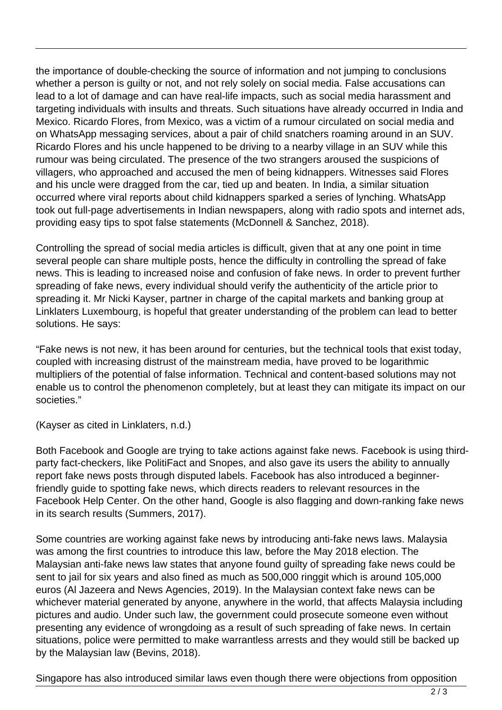the importance of double-checking the source of information and not jumping to conclusions whether a person is guilty or not, and not rely solely on social media. False accusations can lead to a lot of damage and can have real-life impacts, such as social media harassment and targeting individuals with insults and threats. Such situations have already occurred in India and Mexico. Ricardo Flores, from Mexico, was a victim of a rumour circulated on social media and on WhatsApp messaging services, about a pair of child snatchers roaming around in an SUV. Ricardo Flores and his uncle happened to be driving to a nearby village in an SUV while this rumour was being circulated. The presence of the two strangers aroused the suspicions of villagers, who approached and accused the men of being kidnappers. Witnesses said Flores and his uncle were dragged from the car, tied up and beaten. In India, a similar situation occurred where viral reports about child kidnappers sparked a series of lynching. WhatsApp took out full-page advertisements in Indian newspapers, along with radio spots and internet ads, providing easy tips to spot false statements (McDonnell & Sanchez, 2018).

Controlling the spread of social media articles is difficult, given that at any one point in time several people can share multiple posts, hence the difficulty in controlling the spread of fake news. This is leading to increased noise and confusion of fake news. In order to prevent further spreading of fake news, every individual should verify the authenticity of the article prior to spreading it. Mr Nicki Kayser, partner in charge of the capital markets and banking group at Linklaters Luxembourg, is hopeful that greater understanding of the problem can lead to better solutions. He says:

"Fake news is not new, it has been around for centuries, but the technical tools that exist today, coupled with increasing distrust of the mainstream media, have proved to be logarithmic multipliers of the potential of false information. Technical and content-based solutions may not enable us to control the phenomenon completely, but at least they can mitigate its impact on our societies."

(Kayser as cited in Linklaters, n.d.)

Both Facebook and Google are trying to take actions against fake news. Facebook is using thirdparty fact-checkers, like PolitiFact and Snopes, and also gave its users the ability to annually report fake news posts through disputed labels. Facebook has also introduced a beginnerfriendly guide to spotting fake news, which directs readers to relevant resources in the Facebook Help Center. On the other hand, Google is also flagging and down-ranking fake news in its search results (Summers, 2017).

Some countries are working against fake news by introducing anti-fake news laws. Malaysia was among the first countries to introduce this law, before the May 2018 election. The Malaysian anti-fake news law states that anyone found guilty of spreading fake news could be sent to jail for six years and also fined as much as 500,000 ringgit which is around 105,000 euros (Al Jazeera and News Agencies, 2019). In the Malaysian context fake news can be whichever material generated by anyone, anywhere in the world, that affects Malaysia including pictures and audio. Under such law, the government could prosecute someone even without presenting any evidence of wrongdoing as a result of such spreading of fake news. In certain situations, police were permitted to make warrantless arrests and they would still be backed up by the Malaysian law (Bevins, 2018).

Singapore has also introduced similar laws even though there were objections from opposition